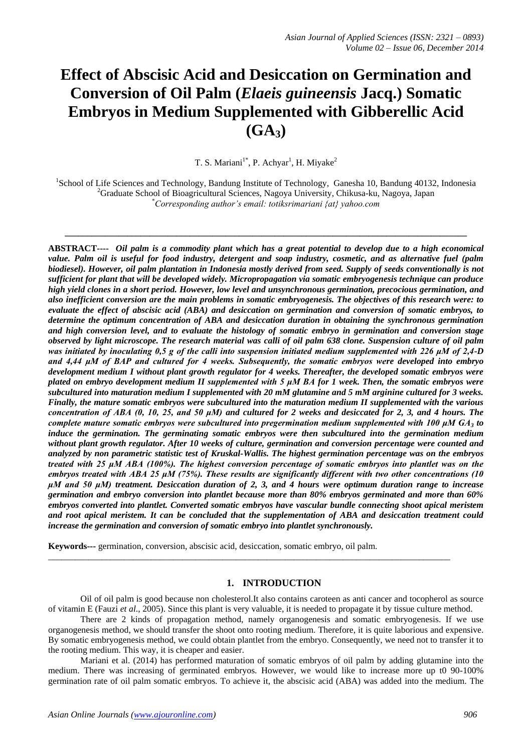# **Effect of Abscisic Acid and Desiccation on Germination and Conversion of Oil Palm (***Elaeis guineensis* **Jacq.) Somatic Embryos in Medium Supplemented with Gibberellic Acid (GA3)**

T. S. Mariani<sup>1\*</sup>, P. Achyar<sup>1</sup>, H. Miyake<sup>2</sup>

<sup>1</sup>School of Life Sciences and Technology, Bandung Institute of Technology, Ganesha 10, Bandung 40132, Indonesia <sup>2</sup>Graduate School of Bioagricultural Sciences, Nagoya University, Chikusa-ku, Nagoya, Japan \**Corresponding author's email: totiksrimariani {at} yahoo.com*

**\_\_\_\_\_\_\_\_\_\_\_\_\_\_\_\_\_\_\_\_\_\_\_\_\_\_\_\_\_\_\_\_\_\_\_\_\_\_\_\_\_\_\_\_\_\_\_\_\_\_\_\_\_\_\_\_\_\_\_\_\_\_\_\_\_\_\_\_\_\_\_\_\_\_\_\_\_\_\_\_\_\_\_\_\_\_\_\_\_\_**

**ABSTRACT----** *Oil palm is a commodity plant which has a great potential to develop due to a high economical value. Palm oil is useful for food industry, detergent and soap industry, cosmetic, and as alternative fuel (palm biodiesel). However, oil palm plantation in Indonesia mostly derived from seed. Supply of seeds conventionally is not sufficient for plant that will be developed widely. Micropropagation via somatic embryogenesis technique can produce high yield clones in a short period. However, low level and unsynchronous germination, precocious germination, and also inefficient conversion are the main problems in somatic embryogenesis. The objectives of this research were: to evaluate the effect of abscisic acid (ABA) and desiccation on germination and conversion of somatic embryos, to determine the optimum concentration of ABA and desiccation duration in obtaining the synchronous germination and high conversion level, and to evaluate the histology of somatic embryo in germination and conversion stage observed by light microscope. The research material was calli of oil palm 638 clone. Suspension culture of oil palm was initiated by inoculating 0,5 g of the calli into suspension initiated medium supplemented with 226 μM of 2,4-D and 4,44 μM of BAP and cultured for 4 weeks. Subsequently, the somatic embryos were developed into embryo development medium I without plant growth regulator for 4 weeks. Thereafter, the developed somatic embryos were plated on embryo development medium II supplemented with 5 μM BA for 1 week. Then, the somatic embryos were subcultured into maturation medium I supplemented with 20 mM glutamine and 5 mM arginine cultured for 3 weeks. Finally, the mature somatic embryos were subcultured into the maturation medium II supplemented with the various concentration of ABA (0, 10, 25, and 50 μM) and cultured for 2 weeks and desiccated for 2, 3, and 4 hours. The complete mature somatic embryos were subcultured into pregermination medium supplemented with 100 μM GA<sup>3</sup> to induce the germination. The germinating somatic embryos were then subcultured into the germination medium without plant growth regulator. After 10 weeks of culture, germination and conversion percentage were counted and analyzed by non parametric statistic test of Kruskal-Wallis. The highest germination percentage was on the embryos treated with 25 μM ABA (100%). The highest conversion percentage of somatic embryos into plantlet was on the embryos treated with ABA 25 μM (75%). These results are significantly different with two other concentrations (10 μM and 50 μM) treatment. Desiccation duration of 2, 3, and 4 hours were optimum duration range to increase germination and embryo conversion into plantlet because more than 80% embryos germinated and more than 60% embryos converted into plantlet. Converted somatic embryos have vascular bundle connecting shoot apical meristem and root apical meristem. It can be concluded that the supplementation of ABA and desiccation treatment could increase the germination and conversion of somatic embryo into plantlet synchronously.*

**Keywords---** germination, conversion, abscisic acid, desiccation, somatic embryo, oil palm.

# **1. INTRODUCTION**

Oil of oil palm is good because non cholesterol.It also contains caroteen as anti cancer and tocopherol as source of vitamin E (Fauzi *et al*., 2005). Since this plant is very valuable, it is needed to propagate it by tissue culture method.

\_\_\_\_\_\_\_\_\_\_\_\_\_\_\_\_\_\_\_\_\_\_\_\_\_\_\_\_\_\_\_\_\_\_\_\_\_\_\_\_\_\_\_\_\_\_\_\_\_\_\_\_\_\_\_\_\_\_\_\_\_\_\_\_\_\_\_\_\_\_\_\_\_\_\_\_\_\_\_\_\_\_\_\_\_\_\_\_\_\_

There are 2 kinds of propagation method, namely organogenesis and somatic embryogenesis. If we use organogenesis method, we should transfer the shoot onto rooting medium. Therefore, it is quite laborious and expensive. By somatic embryogenesis method, we could obtain plantlet from the embryo. Consequently, we need not to transfer it to the rooting medium. This way, it is cheaper and easier.

Mariani et al. (2014) has performed maturation of somatic embryos of oil palm by adding glutamine into the medium. There was increasing of germinated embryos. However, we would like to increase more up t0 90-100% germination rate of oil palm somatic embryos. To achieve it, the abscisic acid (ABA) was added into the medium. The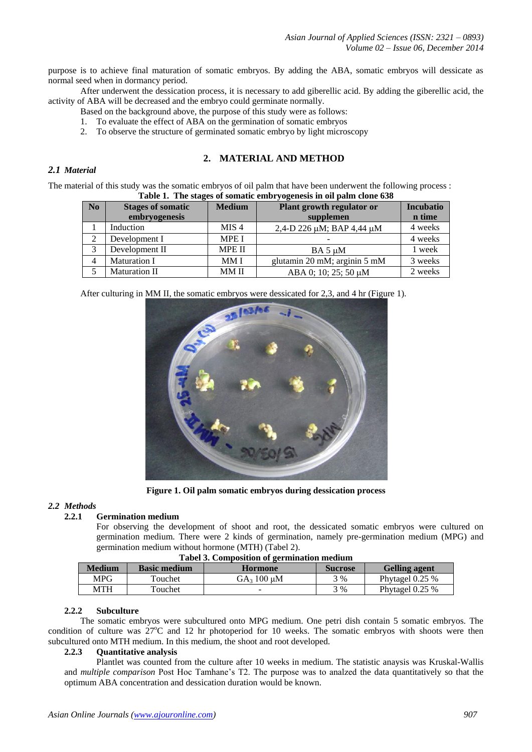purpose is to achieve final maturation of somatic embryos. By adding the ABA, somatic embryos will dessicate as normal seed when in dormancy period.

After underwent the dessication process, it is necessary to add giberellic acid. By adding the giberellic acid, the activity of ABA will be decreased and the embryo could germinate normally.

- Based on the background above, the purpose of this study were as follows:
- 1. To evaluate the effect of ABA on the germination of somatic embryos
- 2. To observe the structure of germinated somatic embryo by light microscopy

# **2. MATERIAL AND METHOD**

# *2.1 Material*

The material of this study was the somatic embryos of oil palm that have been underwent the following process : **Table 1. The stages of somatic embryogenesis in oil palm clone 638**

| Those 11 The studies of sommute employed through the only crone oper |                          |                  |                              |                  |  |  |
|----------------------------------------------------------------------|--------------------------|------------------|------------------------------|------------------|--|--|
| N <sub>0</sub>                                                       | <b>Stages of somatic</b> | <b>Medium</b>    | Plant growth regulator or    | <b>Incubatio</b> |  |  |
|                                                                      | embryogenesis            |                  | supplemen                    | n time           |  |  |
|                                                                      | Induction                | MIS <sub>4</sub> | 2,4-D 226 μM; BAP 4,44 μM    | 4 weeks          |  |  |
|                                                                      | Development I            | <b>MPE I</b>     |                              | 4 weeks          |  |  |
|                                                                      | Development II           | <b>MPE II</b>    | $BA 5 \mu M$                 | 1 week           |  |  |
| 4                                                                    | <b>Maturation I</b>      | MM I             | glutamin 20 mM; arginin 5 mM | 3 weeks          |  |  |
|                                                                      | Maturation II            | MM II            | ABA 0; 10; 25; 50 μM         | 2 weeks          |  |  |

After culturing in MM II, the somatic embryos were dessicated for 2,3, and 4 hr (Figure 1).



**Figure 1. Oil palm somatic embryos during dessication process**

### *2.2 Methods*

# **2.2.1 Germination medium**

For observing the development of shoot and root, the dessicated somatic embryos were cultured on germination medium. There were 2 kinds of germination, namely pre-germination medium (MPG) and germination medium without hormone (MTH) (Tabel 2).

| <b>Tabel 3. Composition of germination medium</b> |                                |                  |                |                      |  |  |  |
|---------------------------------------------------|--------------------------------|------------------|----------------|----------------------|--|--|--|
| <b>Medium</b>                                     | <b>Basic medium</b><br>Hormone |                  | <b>Sucrose</b> | <b>Gelling agent</b> |  |  |  |
| MPG                                               | Touchet                        | $GA_3 100 \mu M$ | 3 %            | Phytagel $0.25\%$    |  |  |  |
| MTH                                               | Touchet                        |                  | 3%             | Phytagel 0.25 %      |  |  |  |

#### **Tabel 3. Composition of germination medium**

#### **2.2.2 Subculture**

The somatic embryos were subcultured onto MPG medium. One petri dish contain 5 somatic embryos. The condition of culture was  $27^{\circ}$ C and 12 hr photoperiod for 10 weeks. The somatic embryos with shoots were then subcultured onto MTH medium. In this medium, the shoot and root developed.

### **2.2.3 Quantitative analysis**

Plantlet was counted from the culture after 10 weeks in medium. The statistic anaysis was Kruskal-Wallis and *multiple comparison* Post Hoc Tamhane's T2. The purpose was to analzed the data quantitatively so that the optimum ABA concentration and dessication duration would be known.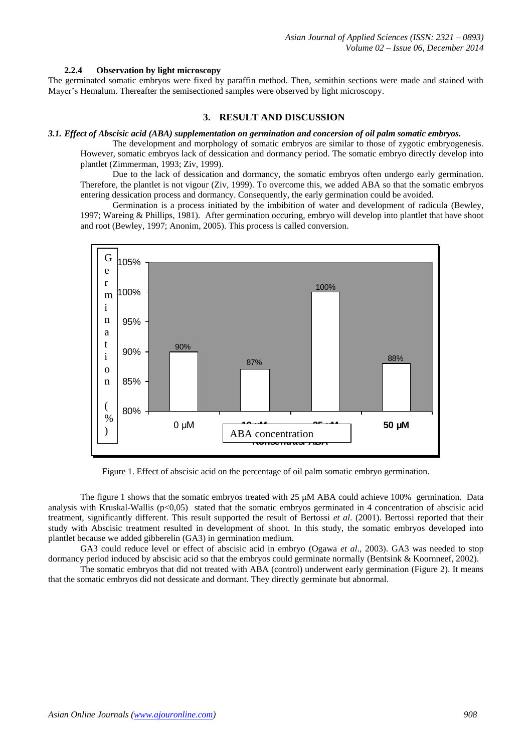#### **2.2.4 Observation by light microscopy**

The germinated somatic embryos were fixed by paraffin method. Then, semithin sections were made and stained with Mayer's Hemalum. Thereafter the semisectioned samples were observed by light microscopy.

## **3. RESULT AND DISCUSSION**

#### *3.1. Effect of Abscisic acid (ABA) supplementation on germination and concersion of oil palm somatic embryos.*

The development and morphology of somatic embryos are similar to those of zygotic embryogenesis. However, somatic embryos lack of dessication and dormancy period. The somatic embryo directly develop into plantlet (Zimmerman, 1993; Ziv, 1999).

Due to the lack of dessication and dormancy, the somatic embryos often undergo early germination. Therefore, the plantlet is not vigour (Ziv, 1999). To overcome this, we added ABA so that the somatic embryos entering dessication process and dormancy. Consequently, the early germination could be avoided.

Germination is a process initiated by the imbibition of water and development of radicula (Bewley, 1997; Wareing & Phillips, 1981). After germination occuring, embryo will develop into plantlet that have shoot and root (Bewley, 1997; Anonim, 2005). This process is called conversion.



Figure 1. Effect of abscisic acid on the percentage of oil palm somatic embryo germination.

The figure 1 shows that the somatic embryos treated with 25 μM ABA could achieve 100% germination. Data analysis with Kruskal-Wallis ( $p<0,05$ ) stated that the somatic embryos germinated in 4 concentration of abscisic acid treatment, significantly different. This result supported the result of Bertossi *et al*. (2001). Bertossi reported that their study with Abscisic treatment resulted in development of shoot. In this study, the somatic embryos developed into plantlet because we added gibberelin (GA3) in germination medium.

GA3 could reduce level or effect of abscisic acid in embryo (Ogawa *et al*., 2003). GA3 was needed to stop dormancy period induced by abscisic acid so that the embryos could germinate normally (Bentsink & Koornneef, 2002).

The somatic embryos that did not treated with ABA (control) underwent early germination (Figure 2). It means that the somatic embryos did not dessicate and dormant. They directly germinate but abnormal.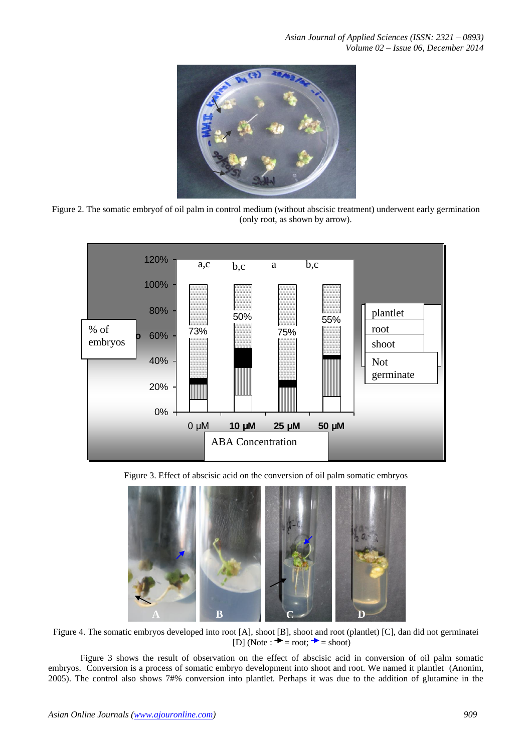

Figure 2. The somatic embryof of oil palm in control medium (without abscisic treatment) underwent early germination (only root, as shown by arrow).



Figure 3. Effect of abscisic acid on the conversion of oil palm somatic embryos



Figure 4. The somatic embryos developed into root [A], shoot [B], shoot and root (plantlet) [C], dan did not germinatei  $[D]$  (Note :  $\rightarrow$  = root;  $\rightarrow$  = shoot)

Figure 3 shows the result of observation on the effect of abscisic acid in conversion of oil palm somatic embryos. Conversion is a process of somatic embryo development into shoot and root. We named it plantlet (Anonim, 2005). The control also shows 7#% conversion into plantlet. Perhaps it was due to the addition of glutamine in the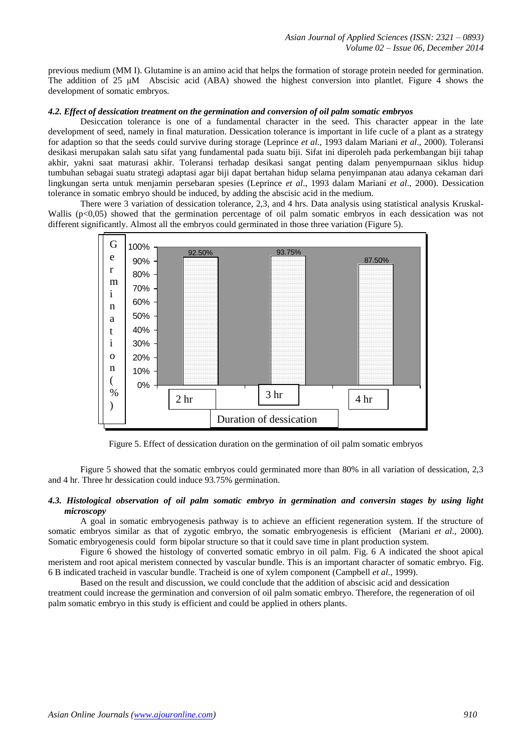previous medium (MM I). Glutamine is an amino acid that helps the formation of storage protein needed for germination. The addition of 25 μM Abscisic acid (ABA) showed the highest conversion into plantlet. Figure 4 shows the development of somatic embryos.

### *4.2. Effect of dessication treatment on the germination and conversion of oil palm somatic embryos*

Desiccation tolerance is one of a fundamental character in the seed. This character appear in the late development of seed, namely in final maturation. Dessication tolerance is important in life cucle of a plant as a strategy for adaption so that the seeds could survive during storage (Leprince *et al*., 1993 dalam Mariani *et al*., 2000). Toleransi desikasi merupakan salah satu sifat yang fundamental pada suatu biji. Sifat ini diperoleh pada perkembangan biji tahap akhir, yakni saat maturasi akhir. Toleransi terhadap desikasi sangat penting dalam penyempurnaan siklus hidup tumbuhan sebagai suatu strategi adaptasi agar biji dapat bertahan hidup selama penyimpanan atau adanya cekaman dari lingkungan serta untuk menjamin persebaran spesies (Leprince *et al*., 1993 dalam Mariani *et al*., 2000). Dessication tolerance in somatic embryo should be induced, by adding the abscisic acid in the medium.

There were 3 variation of dessication tolerance, 2,3, and 4 hrs. Data analysis using statistical analysis Kruskal-Wallis (p<0,05) showed that the germination percentage of oil palm somatic embryos in each dessication was not different significantly. Almost all the embryos could germinated in those three variation (Figure 5).



Figure 5. Effect of dessication duration on the germination of oil palm somatic embryos

Figure 5 showed that the somatic embryos could germinated more than 80% in all variation of dessication, 2,3 and 4 hr. Three hr dessication could induce 93.75% germination.

#### *4.3. Histological observation of oil palm somatic embryo in germination and conversin stages by using light microscopy*

A goal in somatic embryogenesis pathway is to achieve an efficient regeneration system. If the structure of somatic embryos similar as that of zygotic embryo, the somatic embryogenesis is efficient (Mariani *et al*., 2000). Somatic embryogenesis could form bipolar structure so that it could save time in plant production system.

Figure 6 showed the histology of converted somatic embryo in oil palm. Fig. 6 A indicated the shoot apical meristem and root apical meristem connected by vascular bundle. This is an important character of somatic embryo. Fig. 6 B indicated tracheid in vascular bundle. Tracheid is one of xylem component (Campbell *et al.,* 1999).

Based on the result and discussion, we could conclude that the addition of abscisic acid and dessication treatment could increase the germination and conversion of oil palm somatic embryo. Therefore, the regeneration of oil palm somatic embryo in this study is efficient and could be applied in others plants.